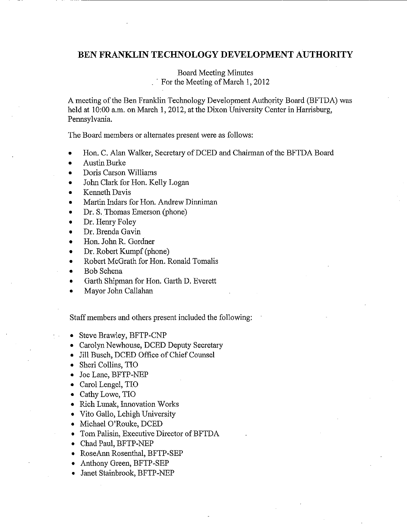# **BEN FRANKLIN TECHNOLOGY DEVELOPMENT AUTHORITY**

Board Meeting Minutes <sup>•</sup> For the Meeting of March 1, 2012

A meeting of the Ben Franklin Technology Development Authority Board (BFTDA) was held at 10:00 a.m. on March 1, 2012, at the Dixon University Center in Harrisburg, Pennsylvania.

The Board members or alternates present were as follows:

- Hon. C. Alan Walker, Secretary ofDCED and Chairman ofthe BFTDA Board
- Austin Burke
- Doris Carson Williams
- John Clark for Hon. Kelly Logan
- Kenneth Davis
- Martin Indars for Hon. Andrew Dinniman
- Dr. S. Thomas Emerson (phone)
- Dr. Henry Foley
- Dr. Brenda Gavin
- Hon. John R. Gordner
- Dr. Robert Kumpf (phone)
- Robert McGrath for Hon. Ronald Tomalis
- Bob Schena
- Garth Shipman for Hon. Garth D. Everett
- Mayor John Callahan

Staff members and others present included the following:

- Steve Brawley, BFTP-CNP
- Carolyn Newhouse, DCED Deputy Secretary
- Jill Busch, DCED Office of Chief Counsel
- Sheri Collins, TIO
- Joe Lane, BFTP-NEP
- Carol Lengel, TIO
- Cathy Lowe, TIO
- Rich Lunak, Innovation Works
- Vito Gallo, Lehigh University
- Michael O'Rouke, DCED
- Tom Palisin, Executive Director of BFTDA
- Chad Paul, BFTP-NEP
- RoseAnn Rosenthal, BFTP-SEP
- Anthony Green, BFTP-SEP
- Janet Stainbrook, BFTP-NEP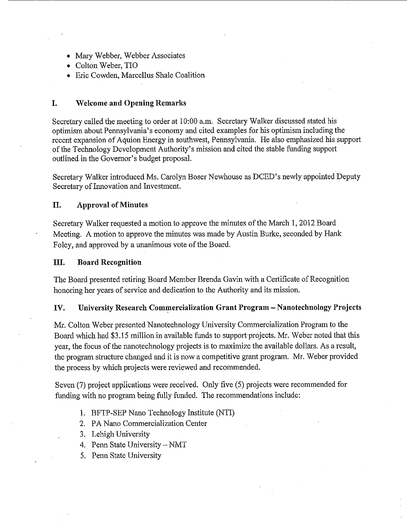- Mary Webber, Webber Associates
- Colton Weber, TIO
- Eric Cowden, Marcellus Shale Coalition

### **I. \Velcome and Opening Remarks**

Secretary called the meeting to order at 10:00 a.m. Secretary Walker discussed stated his optimism about Pennsylvania's economy and cited examples for his optimism including the recent expansion of Aquion Energy in southwest, Pennsylvania. He also emphasized his support of the Technology Development Authority's mission and cited the stable funding support outlined in the Governor's budget proposal.

Secretary Walker introduced Ms. Carolyn Boser Newhouse as DCED's newly appointed Deputy Secretary of Innovation and Investment.

#### **II. Approval of Minutes**

Secretary Walker requested a motion to approve the minutes of the March 1, 2012 Board Meeting. A motion to approve the minutes was made by Austin Burke, seconded by Hank Foley, and approved by a unanimous vote of the Board.

#### **III. Board Recognition**

The Board presented retiring Board Member Brenda Gavin with a Certificate of Recognition honoring her years of service and dedication to the Authority and its mission.

### **IV. University Research Commercialization Grant Program - Nanotechnology Projects**

Mr. Colton Weber presented Nanotechnology University Commercialization Program to the Board which had \$3.15 million in available funds to support projects. Mr. Weber noted that this year, the focus of the nanotechnology projects is to maximize the available dollars. As a result, the program structure changed and it is now a competitive grant program. Mr. Weber provided the process by which projects were reviewed and recommended.

Seven (7) project applications were received. Only five (5) projects were recommended for funding with no program being fully funded. The recommendations include:

- 1. BFTP-SEP Nano Technology Institute (NTI)
- 2. PA Nano Commercialization Center
- 3. Lehigh University
- 4. Penn State University- NMT
- 5. Penn State University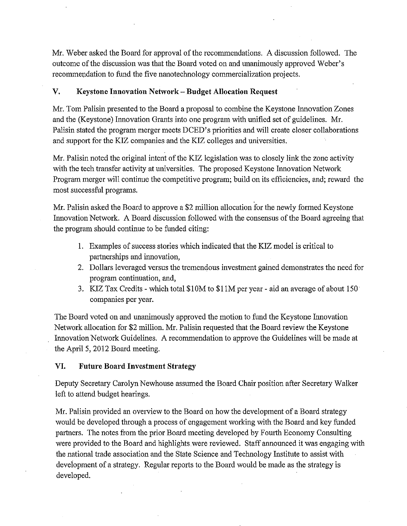Mr. Weber asked the Board for approval of the recommendations. A discussion followed. The outcome of the discussion was that the Board voted on and unanimously approved Weber's recommendation to fund the five nanotechnology commercialization projects.

# **V. Keystone Innovation Network- Budget Allocation Request**

Mr. Tom Palisin presented to the Board a proposal to combine the Keystone Innovation Zones and the (Keystone) Innovation Grants into one program with unified set of guidelines. Mr. Palisin stated the program merger meets DCED 's priorities and will create closer collaborations and support for the KIZ companies and the KIZ colleges and universities.

Mr. Palisin noted the original intent of the KIZ legislation was to closely link the zone activity with the tech transfer activity at universities. The proposed Keystone Innovation Network Program merger will continue the competitive program; build on its efficiencies, and; reward the most successful programs.

Mr. Palisin asked the Board to approve a \$2 million allocation for the newly formed Keystone Innovation Network. A Board discussion followed with the consensus of the Board agreeing that the program should continue to be funded citing:

- **1.** Examples of success stories which indicated that the KIZ model is critical to partnerships and innovation,
- 2. Dollars leveraged versus the tremendous investment gained demonstrates the need for program continuation, and,
- 3. KIZ Tax Credits which total \$10M to \$11M per year aid an average of about 150 companies per year.

The Board voted on and unanimously approved the motion to fund the Keystone Innovation Network allocation for \$2 million. Mr. Palisin requested that the Board review the Keystone Innovation Network Guidelines. A recommendation to approve the Guidelines will be made at the April 5, 2012 Board meeting.

## **VI. Future Board Investment Strategy**

Deputy Secretary Carolyn Newhouse assumed the Board Chair position after Secretary Walker left to attend budget hearings.

Mr. Palisin provided an overview to the Board on how the development of a Board strategy would be developed through a process of engagement working with the Board and key funded partners. The notes from the prior Board meeting developed by Fourth Economy Consulting were provided to the Board and highlights were reviewed. Staff announced it was engaging with the national trade association and the State Science and Technology Institute to assist with development of a strategy. Regular reports to the Board would be made as the strategy is developed.